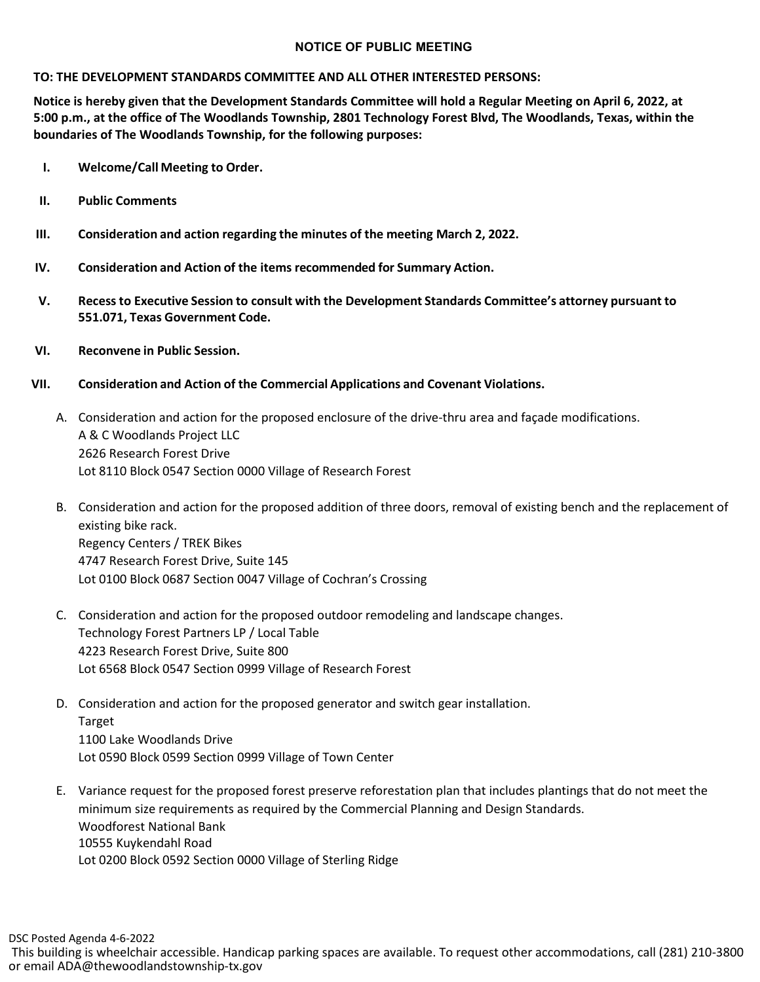## **NOTICE OF PUBLIC MEETING**

## **TO: THE DEVELOPMENT STANDARDS COMMITTEE AND ALL OTHER INTERESTED PERSONS:**

**Notice is hereby given that the Development Standards Committee will hold a Regular Meeting on April 6, 2022, at 5:00 p.m., at the office of The Woodlands Township, 2801 Technology Forest Blvd, The Woodlands, Texas, within the boundaries of The Woodlands Township, for the following purposes:**

- **I. Welcome/Call Meeting to Order.**
- **II. Public Comments**
- **III. Consideration and action regarding the minutes of the meeting March 2, 2022.**
- **IV. Consideration and Action of the items recommended for Summary Action.**
- **V. Recessto Executive Session to consult with the Development Standards Committee's attorney pursuant to 551.071, Texas Government Code.**
- **VI. Reconvene in Public Session.**
- **VII. Consideration and Action of the Commercial Applications and Covenant Violations.**
	- A. Consideration and action for the proposed enclosure of the drive-thru area and façade modifications. A & C Woodlands Project LLC 2626 Research Forest Drive Lot 8110 Block 0547 Section 0000 Village of Research Forest
	- B. Consideration and action for the proposed addition of three doors, removal of existing bench and the replacement of existing bike rack. Regency Centers / TREK Bikes 4747 Research Forest Drive, Suite 145 Lot 0100 Block 0687 Section 0047 Village of Cochran's Crossing
	- C. Consideration and action for the proposed outdoor remodeling and landscape changes. Technology Forest Partners LP / Local Table 4223 Research Forest Drive, Suite 800 Lot 6568 Block 0547 Section 0999 Village of Research Forest
	- D. Consideration and action for the proposed generator and switch gear installation. Target 1100 Lake Woodlands Drive Lot 0590 Block 0599 Section 0999 Village of Town Center
	- E. Variance request for the proposed forest preserve reforestation plan that includes plantings that do not meet the minimum size requirements as required by the Commercial Planning and Design Standards. Woodforest National Bank 10555 Kuykendahl Road Lot 0200 Block 0592 Section 0000 Village of Sterling Ridge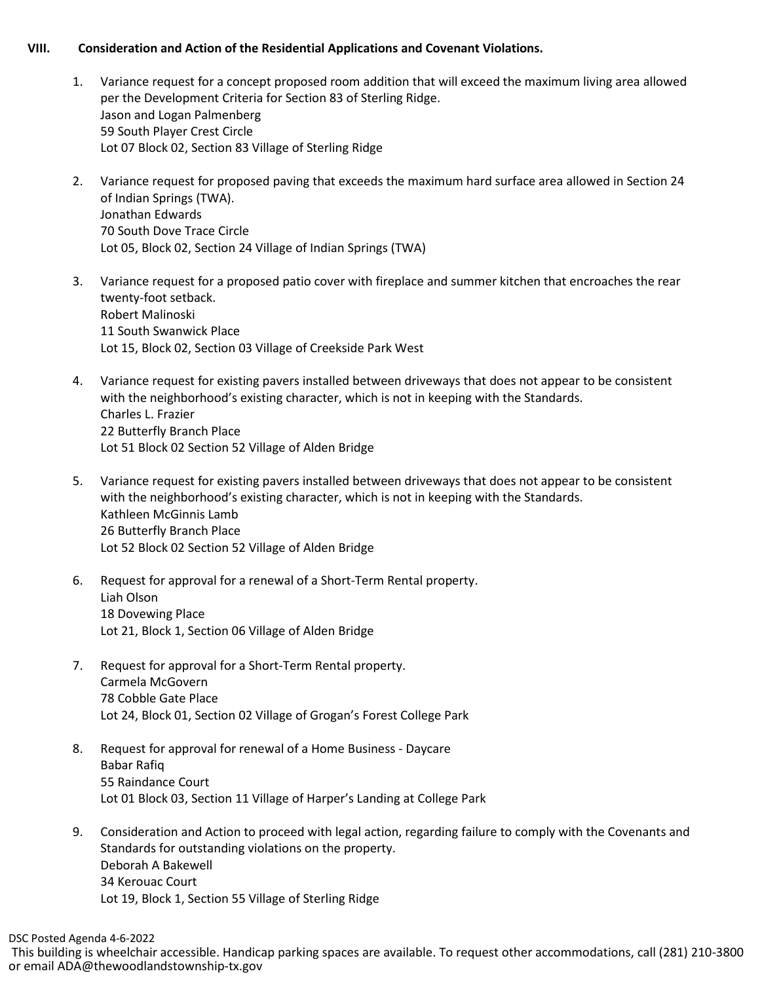## **VIII. Consideration and Action of the Residential Applications and Covenant Violations.**

- 1. Variance request for a concept proposed room addition that will exceed the maximum living area allowed per the Development Criteria for Section 83 of Sterling Ridge. Jason and Logan Palmenberg 59 South Player Crest Circle Lot 07 Block 02, Section 83 Village of Sterling Ridge
- 2. Variance request for proposed paving that exceeds the maximum hard surface area allowed in Section 24 of Indian Springs (TWA). Jonathan Edwards 70 South Dove Trace Circle Lot 05, Block 02, Section 24 Village of Indian Springs (TWA)
- 3. Variance request for a proposed patio cover with fireplace and summer kitchen that encroaches the rear twenty-foot setback. Robert Malinoski 11 South Swanwick Place Lot 15, Block 02, Section 03 Village of Creekside Park West
- 4. Variance request for existing pavers installed between driveways that does not appear to be consistent with the neighborhood's existing character, which is not in keeping with the Standards. Charles L. Frazier 22 Butterfly Branch Place Lot 51 Block 02 Section 52 Village of Alden Bridge
- 5. Variance request for existing pavers installed between driveways that does not appear to be consistent with the neighborhood's existing character, which is not in keeping with the Standards. Kathleen McGinnis Lamb 26 Butterfly Branch Place Lot 52 Block 02 Section 52 Village of Alden Bridge
- 6. Request for approval for a renewal of a Short-Term Rental property. Liah Olson 18 Dovewing Place Lot 21, Block 1, Section 06 Village of Alden Bridge
- 7. Request for approval for a Short-Term Rental property. Carmela McGovern 78 Cobble Gate Place Lot 24, Block 01, Section 02 Village of Grogan's Forest College Park
- 8. Request for approval for renewal of a Home Business Daycare Babar Rafiq 55 Raindance Court Lot 01 Block 03, Section 11 Village of Harper's Landing at College Park
- 9. Consideration and Action to proceed with legal action, regarding failure to comply with the Covenants and Standards for outstanding violations on the property. Deborah A Bakewell 34 Kerouac Court Lot 19, Block 1, Section 55 Village of Sterling Ridge

This building is wheelchair accessible. Handicap parking spaces are available. To request other accommodations, call (281) 210-3800 or email ADA@thewoodlandstownship-tx.gov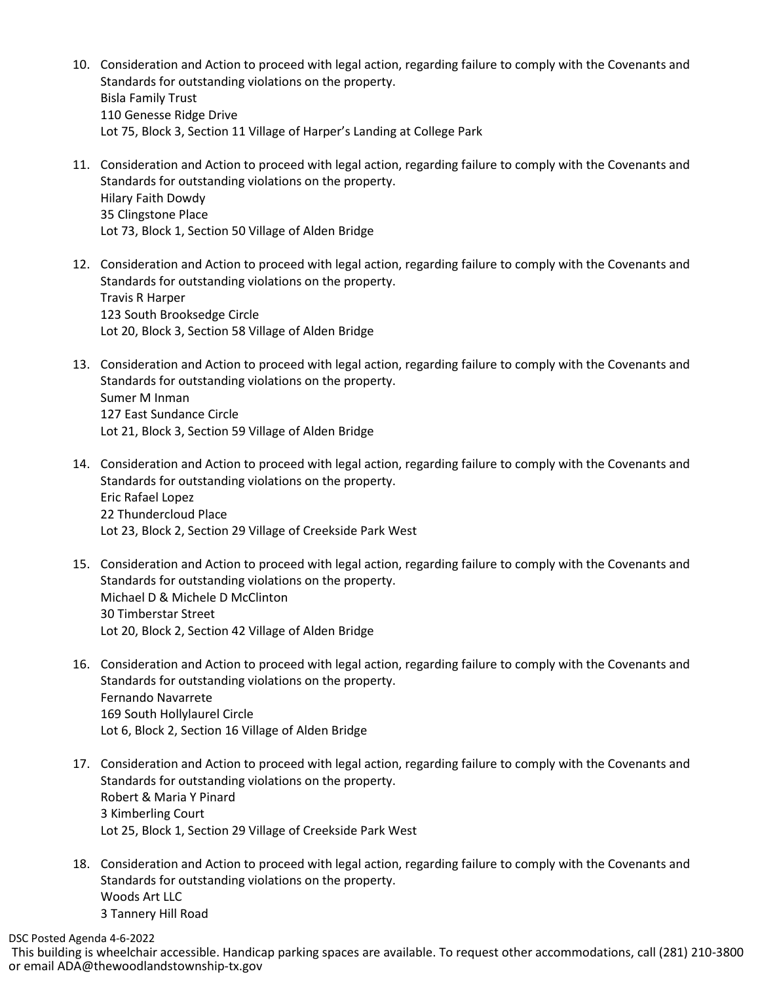- 10. Consideration and Action to proceed with legal action, regarding failure to comply with the Covenants and Standards for outstanding violations on the property. Bisla Family Trust 110 Genesse Ridge Drive Lot 75, Block 3, Section 11 Village of Harper's Landing at College Park
- 11. Consideration and Action to proceed with legal action, regarding failure to comply with the Covenants and Standards for outstanding violations on the property. Hilary Faith Dowdy 35 Clingstone Place Lot 73, Block 1, Section 50 Village of Alden Bridge
- 12. Consideration and Action to proceed with legal action, regarding failure to comply with the Covenants and Standards for outstanding violations on the property. Travis R Harper 123 South Brooksedge Circle Lot 20, Block 3, Section 58 Village of Alden Bridge
- 13. Consideration and Action to proceed with legal action, regarding failure to comply with the Covenants and Standards for outstanding violations on the property. Sumer M Inman 127 East Sundance Circle Lot 21, Block 3, Section 59 Village of Alden Bridge
- 14. Consideration and Action to proceed with legal action, regarding failure to comply with the Covenants and Standards for outstanding violations on the property. Eric Rafael Lopez 22 Thundercloud Place Lot 23, Block 2, Section 29 Village of Creekside Park West
- 15. Consideration and Action to proceed with legal action, regarding failure to comply with the Covenants and Standards for outstanding violations on the property. Michael D & Michele D McClinton 30 Timberstar Street Lot 20, Block 2, Section 42 Village of Alden Bridge
- 16. Consideration and Action to proceed with legal action, regarding failure to comply with the Covenants and Standards for outstanding violations on the property. Fernando Navarrete 169 South Hollylaurel Circle Lot 6, Block 2, Section 16 Village of Alden Bridge
- 17. Consideration and Action to proceed with legal action, regarding failure to comply with the Covenants and Standards for outstanding violations on the property. Robert & Maria Y Pinard 3 Kimberling Court Lot 25, Block 1, Section 29 Village of Creekside Park West
- 18. Consideration and Action to proceed with legal action, regarding failure to comply with the Covenants and Standards for outstanding violations on the property. Woods Art LLC 3 Tannery Hill Road

DSC Posted Agenda 4-6-2022

This building is wheelchair accessible. Handicap parking spaces are available. To request other accommodations, call (281) 210-3800 or email ADA@thewoodlandstownship-tx.gov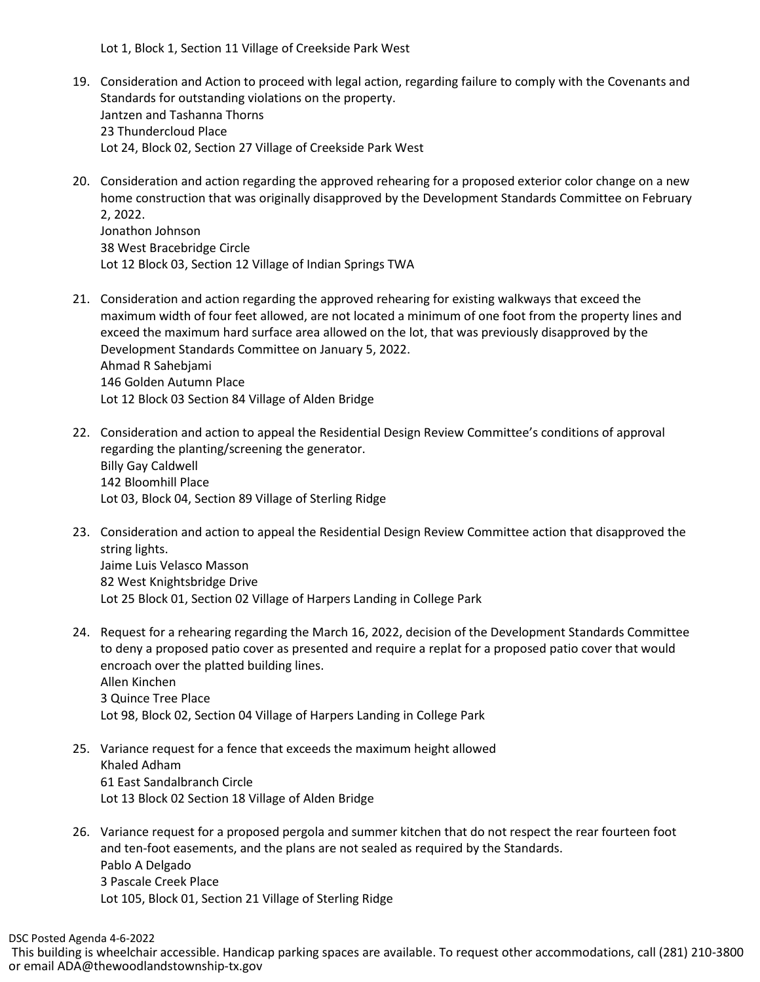Lot 1, Block 1, Section 11 Village of Creekside Park West

- 19. Consideration and Action to proceed with legal action, regarding failure to comply with the Covenants and Standards for outstanding violations on the property. Jantzen and Tashanna Thorns 23 Thundercloud Place Lot 24, Block 02, Section 27 Village of Creekside Park West
- 20. Consideration and action regarding the approved rehearing for a proposed exterior color change on a new home construction that was originally disapproved by the Development Standards Committee on February 2, 2022. Jonathon Johnson 38 West Bracebridge Circle Lot 12 Block 03, Section 12 Village of Indian Springs TWA
- 21. Consideration and action regarding the approved rehearing for existing walkways that exceed the maximum width of four feet allowed, are not located a minimum of one foot from the property lines and exceed the maximum hard surface area allowed on the lot, that was previously disapproved by the Development Standards Committee on January 5, 2022. Ahmad R Sahebjami 146 Golden Autumn Place Lot 12 Block 03 Section 84 Village of Alden Bridge
- 22. Consideration and action to appeal the Residential Design Review Committee's conditions of approval regarding the planting/screening the generator. Billy Gay Caldwell 142 Bloomhill Place Lot 03, Block 04, Section 89 Village of Sterling Ridge
- 23. Consideration and action to appeal the Residential Design Review Committee action that disapproved the string lights. Jaime Luis Velasco Masson 82 West Knightsbridge Drive Lot 25 Block 01, Section 02 Village of Harpers Landing in College Park
- 24. Request for a rehearing regarding the March 16, 2022, decision of the Development Standards Committee to deny a proposed patio cover as presented and require a replat for a proposed patio cover that would encroach over the platted building lines. Allen Kinchen 3 Quince Tree Place Lot 98, Block 02, Section 04 Village of Harpers Landing in College Park
- 25. Variance request for a fence that exceeds the maximum height allowed Khaled Adham 61 East Sandalbranch Circle Lot 13 Block 02 Section 18 Village of Alden Bridge
- 26. Variance request for a proposed pergola and summer kitchen that do not respect the rear fourteen foot and ten-foot easements, and the plans are not sealed as required by the Standards. Pablo A Delgado 3 Pascale Creek Place Lot 105, Block 01, Section 21 Village of Sterling Ridge

DSC Posted Agenda 4-6-2022

This building is wheelchair accessible. Handicap parking spaces are available. To request other accommodations, call (281) 210-3800 or email ADA@thewoodlandstownship-tx.gov